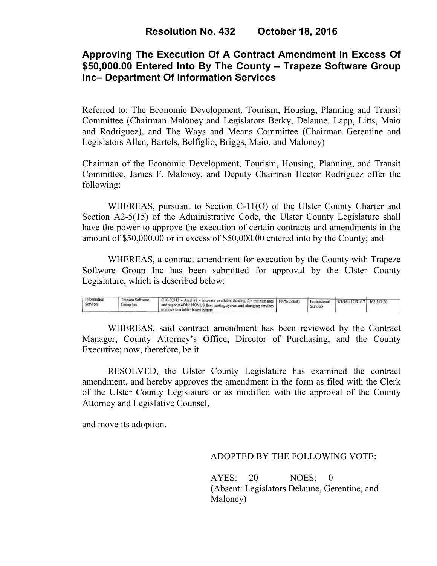## **Approving The Execution Of A Contract Amendment In Excess Of \$50,000.00 Entered Into By The County – Trapeze Software Group Inc– Department Of Information Services**

Referred to: The Economic Development, Tourism, Housing, Planning and Transit Committee (Chairman Maloney and Legislators Berky, Delaune, Lapp, Litts, Maio and Rodriguez), and The Ways and Means Committee (Chairman Gerentine and Legislators Allen, Bartels, Belfiglio, Briggs, Maio, and Maloney)

Chairman of the Economic Development, Tourism, Housing, Planning, and Transit Committee, James F. Maloney, and Deputy Chairman Hector Rodriguez offer the following:

WHEREAS, pursuant to Section C-11(O) of the Ulster County Charter and Section A2-5(15) of the Administrative Code, the Ulster County Legislature shall have the power to approve the execution of certain contracts and amendments in the amount of \$50,000.00 or in excess of \$50,000.00 entered into by the County; and

 WHEREAS, a contract amendment for execution by the County with Trapeze Software Group Inc has been submitted for approval by the Ulster County Legislature, which is described below:

| Information<br>Trapeze Software<br>Services<br>Group Inc. | C10-00313 - Amd #2 - increase available funding for maintenance   100% County<br>1 and support of the NOVUS fleet routing system and changing services 1<br>to move to a tablet based system |  | Professional<br>Services | $9/1/16 - 12/31/17$ \$62.517.00 |  |  |
|-----------------------------------------------------------|----------------------------------------------------------------------------------------------------------------------------------------------------------------------------------------------|--|--------------------------|---------------------------------|--|--|
|-----------------------------------------------------------|----------------------------------------------------------------------------------------------------------------------------------------------------------------------------------------------|--|--------------------------|---------------------------------|--|--|

WHEREAS, said contract amendment has been reviewed by the Contract Manager, County Attorney's Office, Director of Purchasing, and the County Executive; now, therefore, be it

RESOLVED, the Ulster County Legislature has examined the contract amendment, and hereby approves the amendment in the form as filed with the Clerk of the Ulster County Legislature or as modified with the approval of the County Attorney and Legislative Counsel,

and move its adoption.

### ADOPTED BY THE FOLLOWING VOTE:

AYES: 20 NOES: 0 (Absent: Legislators Delaune, Gerentine, and Maloney)